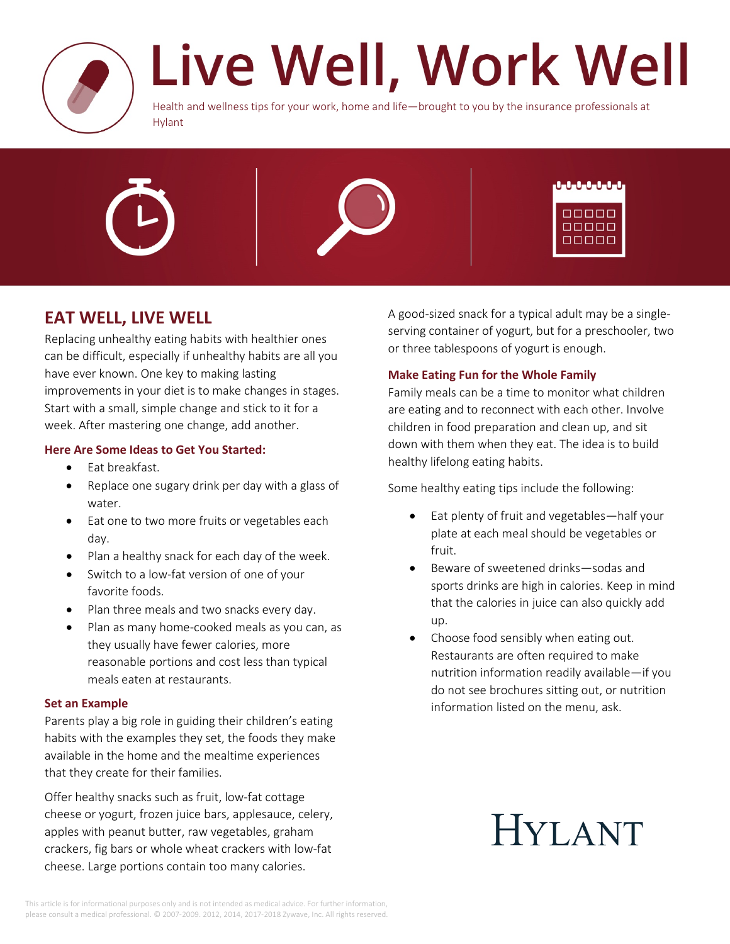

# Live Well, Work Well

Health and wellness tips for your work, home and life—brought to you by the insurance professionals at Hylant



| u u u u u u             |
|-------------------------|
| 00000<br>00000<br>00000 |

### **EAT WELL, LIVE WELL**

Replacing unhealthy eating habits with healthier ones can be difficult, especially if unhealthy habits are all you have ever known. One key to making lasting improvements in your diet is to make changes in stages. Start with a small, simple change and stick to it for a week. After mastering one change, add another.

#### **Here Are Some Ideas to Get You Started:**

- Eat breakfast.
- Replace one sugary drink per day with a glass of water.
- Eat one to two more fruits or vegetables each day.
- Plan a healthy snack for each day of the week.
- Switch to a low-fat version of one of your favorite foods.
- Plan three meals and two snacks every day.
- Plan as many home-cooked meals as you can, as they usually have fewer calories, more reasonable portions and cost less than typical meals eaten at restaurants.

#### **Set an Example**

Parents play a big role in guiding their children's eating habits with the examples they set, the foods they make available in the home and the mealtime experiences that they create for their families.

Offer healthy snacks such as fruit, low-fat cottage cheese or yogurt, frozen juice bars, applesauce, celery, apples with peanut butter, raw vegetables, graham crackers, fig bars or whole wheat crackers with low-fat cheese. Large portions contain too many calories.

A good-sized snack for a typical adult may be a singleserving container of yogurt, but for a preschooler, two or three tablespoons of yogurt is enough.

#### **Make Eating Fun for the Whole Family**

Family meals can be a time to monitor what children are eating and to reconnect with each other. Involve children in food preparation and clean up, and sit down with them when they eat. The idea is to build healthy lifelong eating habits.

Some healthy eating tips include the following:

- Eat plenty of fruit and vegetables—half your plate at each meal should be vegetables or fruit.
- Beware of sweetened drinks—sodas and sports drinks are high in calories. Keep in mind that the calories in juice can also quickly add up.
- Choose food sensibly when eating out. Restaurants are often required to make nutrition information readily available—if you do not see brochures sitting out, or nutrition information listed on the menu, ask.

## **HYLANT**